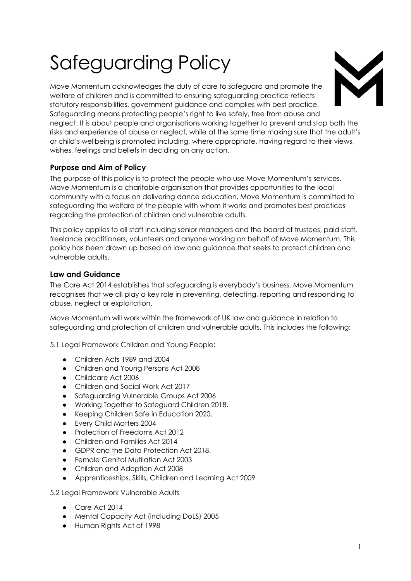# Safeguarding Policy



Move Momentum acknowledges the duty of care to safeguard and promote the welfare of children and is committed to ensuring safeguarding practice reflects statutory responsibilities, government guidance and complies with best practice. Safeguarding means protecting people's right to live safely, free from abuse and neglect. It is about people and organisations working together to prevent and stop both the risks and experience of abuse or neglect, while at the same time making sure that the adult's or child's wellbeing is promoted including, where appropriate, having regard to their views, wishes, feelings and beliefs in deciding on any action.

# **Purpose and Aim of Policy**

The purpose of this policy is to protect the people who use Move Momentum's services. Move Momentum is a charitable organisation that provides opportunities to the local community with a focus on delivering dance education. Move Momentum is committed to safeguarding the welfare of the people with whom it works and promotes best practices regarding the protection of children and vulnerable adults.

This policy applies to all staff including senior managers and the board of trustees, paid staff, freelance practitioners, volunteers and anyone working on behalf of Move Momentum. This policy has been drawn up based on law and guidance that seeks to protect children and vulnerable adults.

## **Law and Guidance**

The Care Act 2014 establishes that safeguarding is everybody's business. Move Momentum recognises that we all play a key role in preventing, detecting, reporting and responding to abuse, neglect or exploitation.

Move Momentum will work within the framework of UK law and guidance in relation to safeguarding and protection of children and vulnerable adults. This includes the following:

5.1 Legal Framework Children and Young People:

- Children Acts 1989 and 2004
- Children and Young Persons Act 2008
- Childcare Act 2006
- Children and Social Work Act 2017
- Safeguarding Vulnerable Groups Act 2006
- Working Together to Safeguard Children 2018.
- Keeping Children Safe in Education 2020.
- Every Child Matters 2004
- Protection of Freedoms Act 2012
- Children and Families Act 2014
- GDPR and the Data Protection Act 2018.
- Female Genital Mutilation Act 2003
- Children and Adoption Act 2008
- Apprenticeships, Skills, Children and Learning Act 2009

5.2 Legal Framework Vulnerable Adults

- Care Act 2014
- Mental Capacity Act (including DoLS) 2005
- Human Rights Act of 1998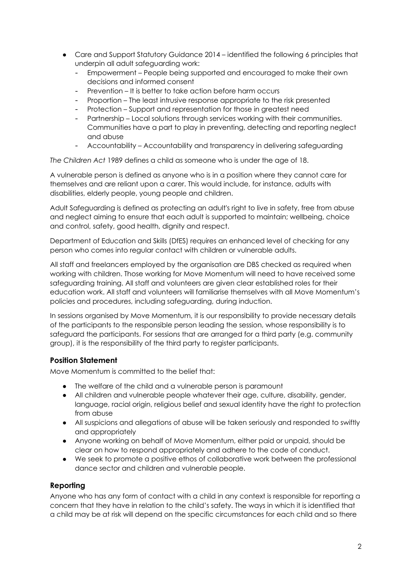- Care and Support Statutory Guidance 2014 identified the following 6 principles that underpin all adult safeguarding work:
	- Empowerment People being supported and encouraged to make their own decisions and informed consent
	- Prevention It is better to take action before harm occurs
	- Proportion The least intrusive response appropriate to the risk presented
	- Protection Support and representation for those in greatest need
	- Partnership Local solutions through services working with their communities. Communities have a part to play in preventing, detecting and reporting neglect and abuse
	- Accountability Accountability and transparency in delivering safeguarding

*The Children Act* 1989 defines a child as someone who is under the age of 18.

A vulnerable person is defined as anyone who is in a position where they cannot care for themselves and are reliant upon a carer. This would include, for instance, adults with disabilities, elderly people, young people and children.

Adult Safeguarding is defined as protecting an adult's right to live in safety, free from abuse and neglect aiming to ensure that each adult is supported to maintain; wellbeing, choice and control, safety, good health, dignity and respect.

Department of Education and Skills (DfES) requires an enhanced level of checking for any person who comes into regular contact with children or vulnerable adults.

All staff and freelancers employed by the organisation are DBS checked as required when working with children. Those working for Move Momentum will need to have received some safeguarding training. All staff and volunteers are given clear established roles for their education work. All staff and volunteers will familiarise themselves with all Move Momentum's policies and procedures, including safeguarding, during induction.

In sessions organised by Move Momentum, it is our responsibility to provide necessary details of the participants to the responsible person leading the session, whose responsibility is to safeguard the participants. For sessions that are arranged for a third party (e.g. community group), it is the responsibility of the third party to register participants.

## **Position Statement**

Move Momentum is committed to the belief that:

- The welfare of the child and a vulnerable person is paramount
- All children and vulnerable people whatever their age, culture, disability, gender, language, racial origin, religious belief and sexual identity have the right to protection from abuse
- All suspicions and allegations of abuse will be taken seriously and responded to swiftly and appropriately
- Anyone working on behalf of Move Momentum, either paid or unpaid, should be clear on how to respond appropriately and adhere to the code of conduct.
- We seek to promote a positive ethos of collaborative work between the professional dance sector and children and vulnerable people.

## **Reporting**

Anyone who has any form of contact with a child in any context is responsible for reporting a concern that they have in relation to the child's safety. The ways in which it is identified that a child may be at risk will depend on the specific circumstances for each child and so there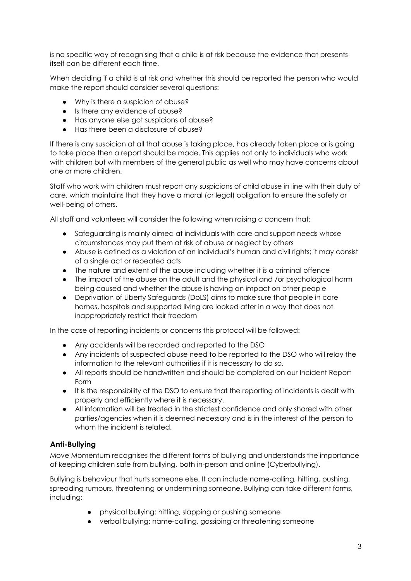is no specific way of recognising that a child is at risk because the evidence that presents itself can be different each time.

When deciding if a child is at risk and whether this should be reported the person who would make the report should consider several questions:

- Why is there a suspicion of abuse?
- Is there any evidence of abuse?
- Has anyone else got suspicions of abuse?
- Has there been a disclosure of abuse?

If there is any suspicion at all that abuse is taking place, has already taken place or is going to take place then a report should be made. This applies not only to individuals who work with children but with members of the general public as well who may have concerns about one or more children.

Staff who work with children must report any suspicions of child abuse in line with their duty of care, which maintains that they have a moral (or legal) obligation to ensure the safety or well-being of others.

All staff and volunteers will consider the following when raising a concern that:

- Safeguarding is mainly aimed at individuals with care and support needs whose circumstances may put them at risk of abuse or neglect by others
- Abuse is defined as a violation of an individual's human and civil rights; it may consist of a single act or repeated acts
- The nature and extent of the abuse including whether it is a criminal offence
- The impact of the abuse on the adult and the physical and /or psychological harm being caused and whether the abuse is having an impact on other people
- Deprivation of Liberty Safeguards (DoLS) aims to make sure that people in care homes, hospitals and supported living are looked after in a way that does not inappropriately restrict their freedom

In the case of reporting incidents or concerns this protocol will be followed:

- Any accidents will be recorded and reported to the DSO
- Any incidents of suspected abuse need to be reported to the DSO who will relay the information to the relevant authorities if it is necessary to do so.
- All reports should be handwritten and should be completed on our Incident Report Form
- It is the responsibility of the DSO to ensure that the reporting of incidents is dealt with properly and efficiently where it is necessary.
- All information will be treated in the strictest confidence and only shared with other parties/agencies when it is deemed necessary and is in the interest of the person to whom the incident is related.

## **Anti-Bullying**

Move Momentum recognises the different forms of bullying and understands the importance of keeping children safe from bullying, both in-person and online (Cyberbullying).

Bullying is behaviour that hurts someone else. It can include name-calling, hitting, pushing, spreading rumours, threatening or undermining someone. Bullying can take different forms, including:

- physical bullying: hitting, slapping or pushing someone
- verbal bullying: name-calling, gossiping or threatening someone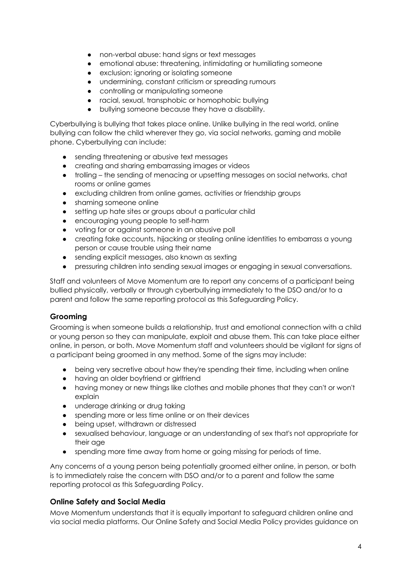- non-verbal abuse: hand signs or text messages
- emotional abuse: threatening, intimidating or humiliating someone
- exclusion: ignoring or isolating someone
- undermining, constant criticism or spreading rumours
- controlling or manipulating someone
- racial, sexual, transphobic or homophobic bullying
- bullying someone because they have a disability.

Cyberbullying is bullying that takes place online. Unlike bullying in the real world, online bullying can follow the child wherever they go, via social networks, gaming and mobile phone. Cyberbullying can include:

- sending threatening or abusive text messages
- creating and sharing embarrassing images or videos
- trolling the sending of menacing or upsetting messages on social networks, chat rooms or online games
- excluding children from online games, activities or friendship groups
- shaming someone online
- setting up hate sites or groups about a particular child
- encouraging young people to self-harm
- voting for or against someone in an abusive poll
- creating fake accounts, hijacking or stealing online identities to embarrass a young person or cause trouble using their name
- sending explicit messages, also known as sexting
- pressuring children into sending sexual images or engaging in sexual conversations.

Staff and volunteers of Move Momentum are to report any concerns of a participant being bullied physically, verbally or through cyberbullying immediately to the DSO and/or to a parent and follow the same reporting protocol as this Safeguarding Policy.

## **Grooming**

Grooming is when someone builds a relationship, trust and emotional connection with a child or young person so they can manipulate, exploit and abuse them. This can take place either online, in person, or both. Move Momentum staff and volunteers should be vigilant for signs of a participant being groomed in any method. Some of the signs may include:

- being very secretive about how they're spending their time, including when online
- having an older boyfriend or girlfriend
- having money or new things like clothes and mobile phones that they can't or won't explain
- underage drinking or drug taking
- spending more or less time online or on their devices
- being upset, withdrawn or distressed
- sexualised behaviour, language or an understanding of sex that's not appropriate for their age
- spending more time away from home or going missing for periods of time.

Any concerns of a young person being potentially groomed either online, in person, or both is to immediately raise the concern with DSO and/or to a parent and follow the same reporting protocol as this Safeguarding Policy.

## **Online Safety and Social Media**

Move Momentum understands that it is equally important to safeguard children online and via social media platforms. Our Online Safety and Social Media Policy provides guidance on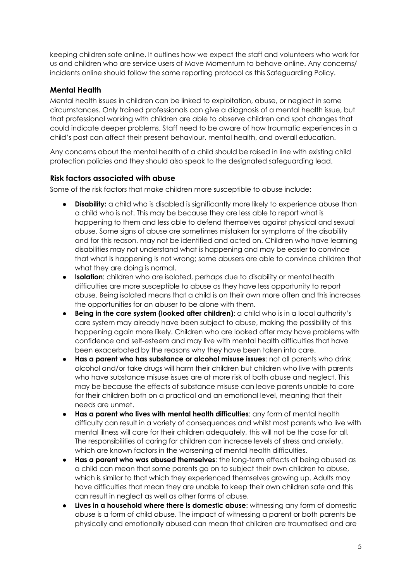keeping children safe online. It outlines how we expect the staff and volunteers who work for us and children who are service users of Move Momentum to behave online. Any concerns/ incidents online should follow the same reporting protocol as this Safeguarding Policy.

## **Mental Health**

Mental health issues in children can be linked to exploitation, abuse, or neglect in some circumstances. Only trained professionals can give a diagnosis of a mental health issue, but that professional working with children are able to observe children and spot changes that could indicate deeper problems. Staff need to be aware of how traumatic experiences in a child's past can affect their present behaviour, mental health, and overall education.

Any concerns about the mental health of a child should be raised in line with existing child protection policies and they should also speak to the designated safeguarding lead.

## **Risk factors associated with abuse**

Some of the risk factors that make children more susceptible to abuse include:

- **Disability:** a child who is disabled is significantly more likely to experience abuse than a child who is not. This may be because they are less able to report what is happening to them and less able to defend themselves against physical and sexual abuse. Some signs of abuse are sometimes mistaken for symptoms of the disability and for this reason, may not be identified and acted on. Children who have learning disabilities may not understand what is happening and may be easier to convince that what is happening is not wrong; some abusers are able to convince children that what they are doing is normal.
- **Isolation**: children who are isolated, perhaps due to disability or mental health difficulties are more susceptible to abuse as they have less opportunity to report abuse. Being isolated means that a child is on their own more often and this increases the opportunities for an abuser to be alone with them.
- **Being in the care system (looked after children)**: a child who is in a local authority's care system may already have been subject to abuse, making the possibility of this happening again more likely. Children who are looked after may have problems with confidence and self-esteem and may live with mental health difficulties that have been exacerbated by the reasons why they have been taken into care.
- **Has a parent who has substance or alcohol misuse issues**: not all parents who drink alcohol and/or take drugs will harm their children but children who live with parents who have substance misuse issues are at more risk of both abuse and neglect. This may be because the effects of substance misuse can leave parents unable to care for their children both on a practical and an emotional level, meaning that their needs are unmet.
- **Has a parent who lives with mental health difficulties**: any form of mental health difficulty can result in a variety of consequences and whilst most parents who live with mental illness will care for their children adequately, this will not be the case for all. The responsibilities of caring for children can increase levels of stress and anxiety, which are known factors in the worsening of mental health difficulties.
- **Has a parent who was abused themselves**: the long-term effects of being abused as a child can mean that some parents go on to subject their own children to abuse, which is similar to that which they experienced themselves growing up. Adults may have difficulties that mean they are unable to keep their own children safe and this can result in neglect as well as other forms of abuse.
- **Lives in a household where there is domestic abuse**: witnessing any form of domestic abuse is a form of child abuse. The impact of witnessing a parent or both parents be physically and emotionally abused can mean that children are traumatised and are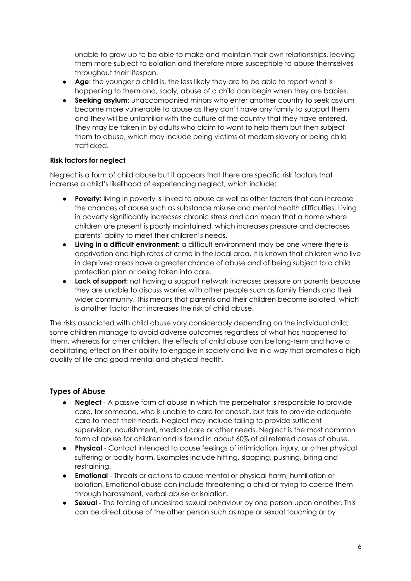unable to grow up to be able to make and maintain their own relationships, leaving them more subject to isolation and therefore more susceptible to abuse themselves throughout their lifespan.

- **Age**: the younger a child is, the less likely they are to be able to report what is happening to them and, sadly, abuse of a child can begin when they are babies.
- **Seeking asylum**: unaccompanied minors who enter another country to seek asylum become more vulnerable to abuse as they don't have any family to support them and they will be unfamiliar with the culture of the country that they have entered. They may be taken in by adults who claim to want to help them but then subject them to abuse, which may include being victims of modern slavery or being child trafficked.

## **Risk factors for neglect**

Neglect is a form of child abuse but it appears that there are specific risk factors that increase a child's likelihood of experiencing neglect, which include:

- **Poverty:** living in poverty is linked to abuse as well as other factors that can increase the chances of abuse such as substance misuse and mental health difficulties. Living in poverty significantly increases chronic stress and can mean that a home where children are present is poorly maintained, which increases pressure and decreases parents' ability to meet their children's needs.
- **Living in a difficult environment:** a difficult environment may be one where there is deprivation and high rates of crime in the local area. It is known that children who live in deprived areas have a greater chance of abuse and of being subject to a child protection plan or being taken into care.
- **Lack of support:** not having a support network increases pressure on parents because they are unable to discuss worries with other people such as family friends and their wider community. This means that parents and their children become isolated, which is another factor that increases the risk of child abuse.

The risks associated with child abuse vary considerably depending on the individual child; some children manage to avoid adverse outcomes regardless of what has happened to them, whereas for other children, the effects of child abuse can be long-term and have a debilitating effect on their ability to engage in society and live in a way that promotes a high quality of life and good mental and physical health.

# **Types of Abuse**

- **Neglect** A passive form of abuse in which the perpetrator is responsible to provide care, for someone, who is unable to care for oneself, but fails to provide adequate care to meet their needs. Neglect may include failing to provide sufficient supervision, nourishment, medical care or other needs. Neglect is the most common form of abuse for children and is found in about 60% of all referred cases of abuse.
- **Physical**  Contact intended to cause feelings of intimidation, injury, or other physical suffering or bodily harm. Examples include hitting, slapping, pushing, biting and restraining.
- **Emotional**  Threats or actions to cause mental or physical harm, humiliation or isolation. Emotional abuse can include threatening a child or trying to coerce them through harassment, verbal abuse or isolation.
- **Sexual** The forcing of undesired sexual behaviour by one person upon another. This can be direct abuse of the other person such as rape or sexual touching or by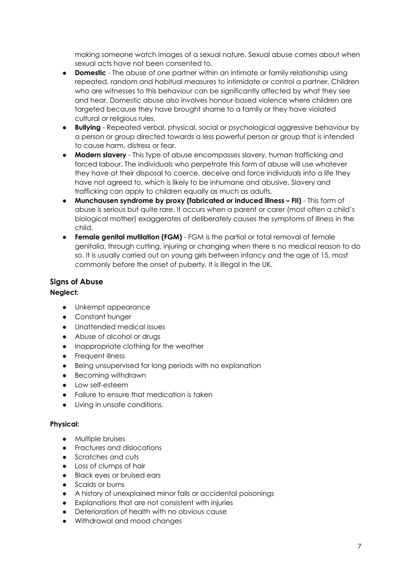making someone watch images of a sexual nature. Sexual abuse comes about when sexual acts have not been consented to.

- **Domestic** The abuse of one partner within an intimate or family relationship using repeated, random and habitual measures to intimidate or control a partner. Children who are witnesses to this behaviour can be significantly affected by what they see and hear. Domestic abuse also involves honour-based violence where children are targeted because they have brought shame to a family or they have violated cultural or religious rules.
- **Bullying** Repeated verbal, physical, social or psychological aggressive behaviour by a person or group directed towards a less powerful person or group that is intended to cause harm, distress or fear.
- **Modern slavery**  This type of abuse encompasses slavery, human trafficking and forced labour. The individuals who perpetrate this form of abuse will use whatever they have at their disposal to coerce, deceive and force individuals into a life they have not agreed to, which is likely to be inhumane and abusive. Slavery and trafficking can apply to children equally as much as adults.
- **Munchausen syndrome by proxy (fabricated or induced illness – FII)** This form of abuse is serious but quite rare. It occurs when a parent or carer (most often a child's biological mother) exaggerates of deliberately causes the symptoms of illness in the child.
- **Female genital mutilation (FGM)** FGM is the partial or total removal of female genitalia, through cutting, injuring or changing when there is no medical reason to do so. It is usually carried out on young girls between infancy and the age of 15, most commonly before the onset of puberty. It is illegal in the UK.

## **Signs of Abuse**

## **Neglect:**

- Unkempt appearance
- Constant hunger
- Unattended medical issues
- Abuse of alcohol or drugs
- Inappropriate clothing for the weather
- **Frequent illness**
- Being unsupervised for long periods with no explanation
- Becoming withdrawn
- Low self-esteem
- Failure to ensure that medication is taken
- Living in unsafe conditions.

## **Physical:**

- Multiple bruises
- Fractures and dislocations
- Scratches and cuts
- Loss of clumps of hair
- Black eyes or bruised ears
- Scalds or burns
- A history of unexplained minor falls or accidental poisonings
- Explanations that are not consistent with injuries
- Deterioration of health with no obvious cause
- Withdrawal and mood changes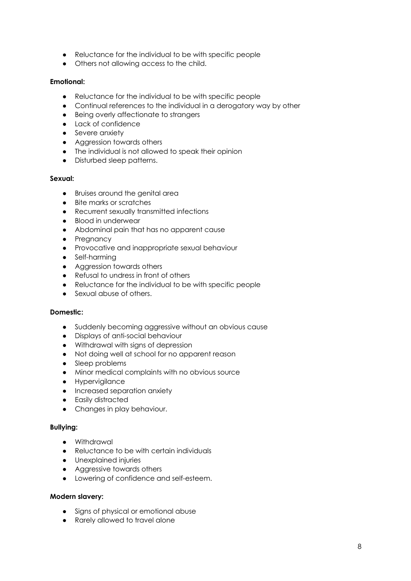- Reluctance for the individual to be with specific people
- Others not allowing access to the child.

## **Emotional:**

- Reluctance for the individual to be with specific people
- Continual references to the individual in a derogatory way by other
- Being overly affectionate to strangers
- Lack of confidence
- Severe anxiety
- Aggression towards others
- The individual is not allowed to speak their opinion
- Disturbed sleep patterns.

#### **Sexual:**

- Bruises around the genital area
- Bite marks or scratches
- Recurrent sexually transmitted infections
- Blood in underwear
- Abdominal pain that has no apparent cause
- Pregnancy
- Provocative and inappropriate sexual behaviour
- Self-harming
- Aggression towards others
- Refusal to undress in front of others
- Reluctance for the individual to be with specific people
- Sexual abuse of others.

#### **Domestic:**

- Suddenly becoming aggressive without an obvious cause
- Displays of anti-social behaviour
- Withdrawal with signs of depression
- Not doing well at school for no apparent reason
- Sleep problems
- Minor medical complaints with no obvious source
- Hypervigilance
- Increased separation anxiety
- Easily distracted
- Changes in play behaviour.

#### **Bullying:**

- Withdrawal
- Reluctance to be with certain individuals
- Unexplained injuries
- Aggressive towards others
- Lowering of confidence and self-esteem.

#### **Modern slavery:**

- Signs of physical or emotional abuse
- Rarely allowed to travel alone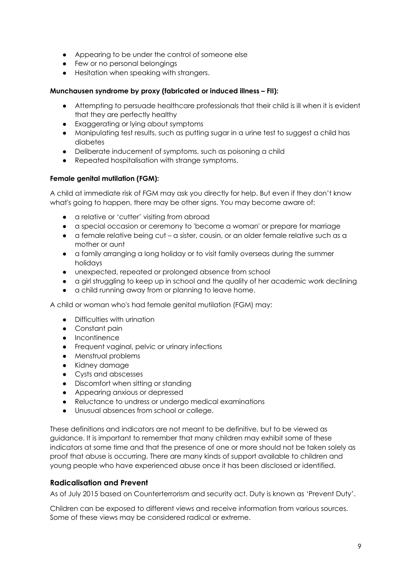- Appearing to be under the control of someone else
- Few or no personal belongings
- Hesitation when speaking with strangers.

#### **Munchausen syndrome by proxy (fabricated or induced illness – FII):**

- Attempting to persuade healthcare professionals that their child is ill when it is evident that they are perfectly healthy
- Exaggerating or lying about symptoms
- Manipulating test results, such as putting sugar in a urine test to suggest a child has diabetes
- Deliberate inducement of symptoms, such as poisoning a child
- Repeated hospitalisation with strange symptoms.

#### **Female genital mutilation (FGM):**

A child at immediate risk of FGM may ask you directly for help. But even if they don't know what's going to happen, there may be other signs. You may become aware of:

- a relative or 'cutter' visiting from abroad
- a special occasion or ceremony to 'become a woman' or prepare for marriage
- $\bullet$  a female relative being cut a sister, cousin, or an older female relative such as a mother or aunt
- a family arranging a long holiday or to visit family overseas during the summer holidays
- unexpected, repeated or prolonged absence from school
- a girl struggling to keep up in school and the quality of her academic work declining
- a child running away from or planning to leave home.

A child or woman who's had female genital mutilation (FGM) may:

- Difficulties with urination
- Constant pain
- Incontinence
- Frequent vaginal, pelvic or urinary infections
- Menstrual problems
- Kidney damage
- Cysts and abscesses
- Discomfort when sitting or standing
- Appearing anxious or depressed
- Reluctance to undress or undergo medical examinations
- Unusual absences from school or college.

These definitions and indicators are not meant to be definitive, but to be viewed as guidance. It is important to remember that many children may exhibit some of these indicators at some time and that the presence of one or more should not be taken solely as proof that abuse is occurring. There are many kinds of support available to children and young people who have experienced abuse once it has been disclosed or identified.

## **Radicalisation and Prevent**

As of July 2015 based on Counterterrorism and security act. Duty is known as 'Prevent Duty'.

Children can be exposed to different views and receive information from various sources. Some of these views may be considered radical or extreme.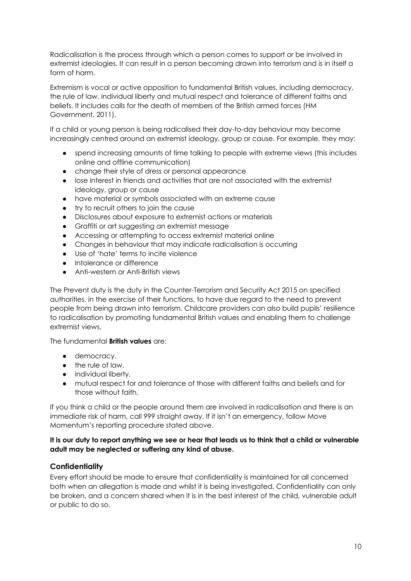Radicalisation is the process through which a person comes to support or be involved in extremist ideologies. It can result in a person becoming drawn into terrorism and is in itself a form of harm.

Extremism is vocal or active opposition to fundamental British values, including democracy, the rule of law, individual liberty and mutual respect and tolerance of different faiths and beliefs. It includes calls for the death of members of the British armed forces (HM Government, 2011).

If a child or young person is being radicalised their day-to-day behaviour may become increasingly centred around an extremist ideology, group or cause. For example, they may:

- spend increasing amounts of time talking to people with extreme views (this includes online and offline communication)
- change their style of dress or personal appearance
- lose interest in friends and activities that are not associated with the extremist ideology, group or cause
- have material or symbols associated with an extreme cause
- try to recruit others to join the cause
- Disclosures about exposure to extremist actions or materials
- Graffiti or art suggesting an extremist message
- Accessing or attempting to access extremist material online
- Changes in behaviour that may indicate radicalisation is occurring
- Use of 'hate' terms to incite violence
- Intolerance or difference
- Anti-western or Anti-British views

The Prevent duty is the duty in the Counter-Terrorism and Security Act 2015 on specified authorities, in the exercise of their functions, to have due regard to the need to prevent people from being drawn into terrorism. Childcare providers can also build pupils' resilience to radicalisation by promoting fundamental British values and enabling them to challenge extremist views.

The fundamental **British values** are:

- democracy.
- the rule of law.
- individual liberty.
- mutual respect for and tolerance of those with different faiths and beliefs and for those without faith.

If you think a child or the people around them are involved in radicalisation and there is an immediate risk of harm, call 999 straight away. If it isn't an emergency, follow Move Momentum's reporting procedure stated above.

## **It is our duty to report anything we see or hear that leads us to think that a child or vulnerable adult may be neglected or suffering any kind of abuse.**

## **Confidentiality**

Every effort should be made to ensure that confidentiality is maintained for all concerned both when an allegation is made and whilst it is being investigated. Confidentiality can only be broken, and a concern shared when it is in the best interest of the child, vulnerable adult or public to do so.